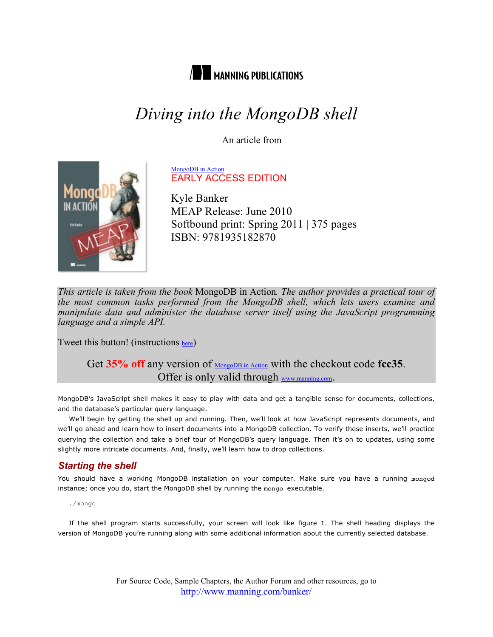

# *Diving into the MongoDB shell*

An article from



MongoDB in Action EARLY ACCESS EDITION

Kyle Banker MEAP Release: June 2010 Softbound print: Spring 2011 | 375 pages ISBN: 9781935182870

*This article is taken from the book* MongoDB in Action*. The author provides a practical tour of the most common tasks performed from the MongoDB shell, which lets users examine and manipulate data and administer the database server itself using the JavaScript programming language and a simple API.*

Tweet this button! (instructions here)

## Get 35% off any version of **MongoDB** in Action with the checkout code fcc35. Offer is only valid through www.manning.com.

MongoDB's JavaScript shell makes it easy to play with data and get a tangible sense for documents, collections, and the database's particular query language.

We'll begin by getting the shell up and running. Then, we'll look at how JavaScript represents documents, and we'll go ahead and learn how to insert documents into a MongoDB collection. To verify these inserts, we'll practice querying the collection and take a brief tour of MongoDB's query language. Then it's on to updates, using some slightly more intricate documents. And, finally, we'll learn how to drop collections.

## *Starting the shell*

You should have a working MongoDB installation on your computer. Make sure you have a running mongod instance; once you do, start the MongoDB shell by running the mongo executable.

./mongo

If the shell program starts successfully, your screen will look like figure 1. The shell heading displays the version of MongoDB you're running along with some additional information about the currently selected database.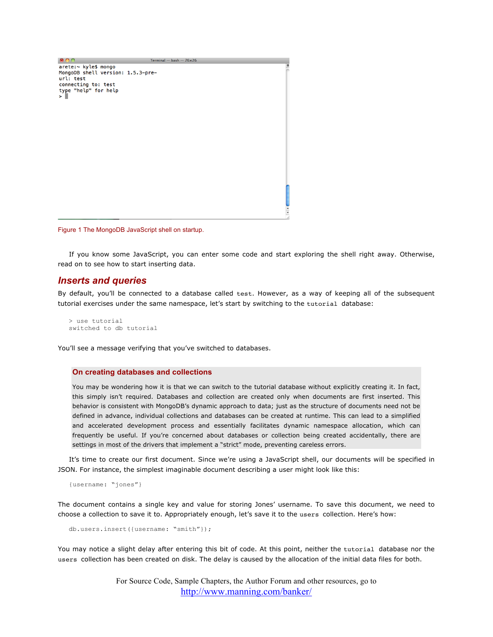

Figure 1 The MongoDB JavaScript shell on startup.

If you know some JavaScript, you can enter some code and start exploring the shell right away. Otherwise, read on to see how to start inserting data.

#### *Inserts and queries*

By default, you'll be connected to a database called test. However, as a way of keeping all of the subsequent tutorial exercises under the same namespace, let's start by switching to the tutorial database:

> use tutorial switched to db tutorial

You'll see a message verifying that you've switched to databases.

#### **On creating databases and collections**

You may be wondering how it is that we can switch to the tutorial database without explicitly creating it. In fact, this simply isn't required. Databases and collection are created only when documents are first inserted. This behavior is consistent with MongoDB's dynamic approach to data; just as the structure of documents need not be defined in advance, individual collections and databases can be created at runtime. This can lead to a simplified and accelerated development process and essentially facilitates dynamic namespace allocation, which can frequently be useful. If you're concerned about databases or collection being created accidentally, there are settings in most of the drivers that implement a "strict" mode, preventing careless errors.

It's time to create our first document. Since we're using a JavaScript shell, our documents will be specified in JSON. For instance, the simplest imaginable document describing a user might look like this:

{username: "jones"}

The document contains a single key and value for storing Jones' username. To save this document, we need to choose a collection to save it to. Appropriately enough, let's save it to the users collection. Here's how:

db.users.insert({username: "smith"});

You may notice a slight delay after entering this bit of code. At this point, neither the tutorial database nor the users collection has been created on disk. The delay is caused by the allocation of the initial data files for both.

> For Source Code, Sample Chapters, the Author Forum and other resources, go to http://www.manning.com/banker/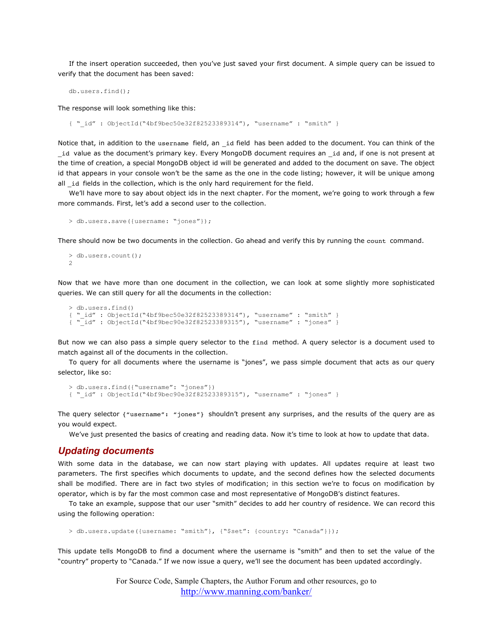If the insert operation succeeded, then you've just saved your first document. A simple query can be issued to verify that the document has been saved:

db.users.find();

The response will look something like this:

{ "\_id" : ObjectId("4bf9bec50e32f82523389314"), "username" : "smith" }

Notice that, in addition to the username field, an \_id field has been added to the document. You can think of the \_id value as the document's primary key. Every MongoDB document requires an \_id and, if one is not present at the time of creation, a special MongoDB object id will be generated and added to the document on save. The object id that appears in your console won't be the same as the one in the code listing; however, it will be unique among all id fields in the collection, which is the only hard requirement for the field.

We'll have more to say about object ids in the next chapter. For the moment, we're going to work through a few more commands. First, let's add a second user to the collection.

```
> db.users.save({username: "jones"});
```
There should now be two documents in the collection. Go ahead and verify this by running the count command.

```
> db.users.count();
\mathcal{L}
```
Now that we have more than one document in the collection, we can look at some slightly more sophisticated queries. We can still query for all the documents in the collection:

```
> db.users.find()
{\simeq} id" : ObjectId("4bf9bee50e32f82523389314"), "username" : "smith" }<br>{\simeq} id" : ObjectId("4bf9bee90e32f82523389315"), "username" : "jones" }
     {\bar 1}id" : ObjectId("4bf9bec90e32f82523389315"), "username" : "jones" }
```
But now we can also pass a simple query selector to the find method. A query selector is a document used to match against all of the documents in the collection.

To query for all documents where the username is "jones", we pass simple document that acts as our query selector, like so:

```
> db.users.find({"username": "jones"})
{ "_id" : ObjectId("4bf9bec90e32f82523389315"), "username" : "jones" }
```
The query selector {"username": "jones"} shouldn't present any surprises, and the results of the query are as you would expect.

We've just presented the basics of creating and reading data. Now it's time to look at how to update that data.

#### *Updating documents*

With some data in the database, we can now start playing with updates. All updates require at least two parameters. The first specifies which documents to update, and the second defines how the selected documents shall be modified. There are in fact two styles of modification; in this section we're to focus on modification by operator, which is by far the most common case and most representative of MongoDB's distinct features.

To take an example, suppose that our user "smith" decides to add her country of residence. We can record this using the following operation:

> db.users.update({username: "smith"}, {"\$set": {country: "Canada"}});

This update tells MongoDB to find a document where the username is "smith" and then to set the value of the "country" property to "Canada." If we now issue a query, we'll see the document has been updated accordingly.

> For Source Code, Sample Chapters, the Author Forum and other resources, go to http://www.manning.com/banker/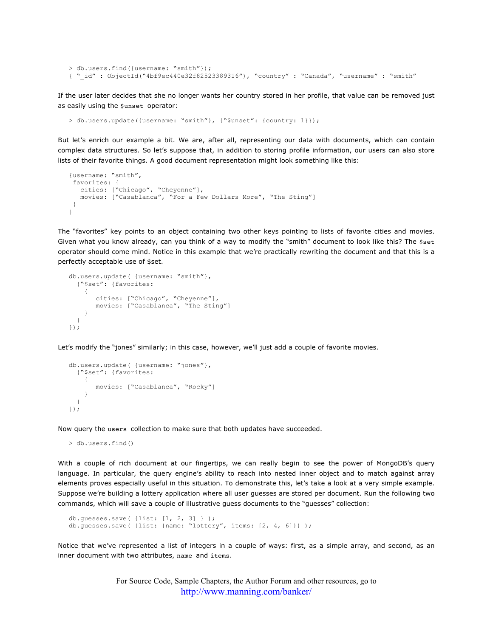```
> db.users.find({username: "smith"});
{ "_id" : ObjectId("4bf9ec440e32f82523389316"), "country" : "Canada", "username" : "smith"
```
If the user later decides that she no longer wants her country stored in her profile, that value can be removed just as easily using the \$unset operator:

```
> db.users.update({username: "smith"}, {"$unset": {country: 1}});
```
But let's enrich our example a bit. We are, after all, representing our data with documents, which can contain complex data structures. So let's suppose that, in addition to storing profile information, our users can also store lists of their favorite things. A good document representation might look something like this:

```
{username: "smith",
 favorites: {
   cities: ["Chicago", "Cheyenne"],
   movies: ["Casablanca", "For a Few Dollars More", "The Sting"]
 }
}
```
The "favorites" key points to an object containing two other keys pointing to lists of favorite cities and movies. Given what you know already, can you think of a way to modify the "smith" document to look like this? The \$set operator should come mind. Notice in this example that we're practically rewriting the document and that this is a perfectly acceptable use of \$set.

```
db.users.update( {username: "smith"},
   {"$set": {favorites:
     {
        cities: ["Chicago", "Cheyenne"],
        movies: ["Casablanca", "The Sting"]
     }
   }
});
```
Let's modify the "jones" similarly; in this case, however, we'll just add a couple of favorite movies.

```
db.users.update( {username: "jones"},
   {"$set": {favorites:
     {
        movies: ["Casablanca", "Rocky"]
     }
  }
});
```
Now query the users collection to make sure that both updates have succeeded.

> db.users.find()

With a couple of rich document at our fingertips, we can really begin to see the power of MongoDB's query language. In particular, the query engine's ability to reach into nested inner object and to match against array elements proves especially useful in this situation. To demonstrate this, let's take a look at a very simple example. Suppose we're building a lottery application where all user guesses are stored per document. Run the following two commands, which will save a couple of illustrative guess documents to the "guesses" collection:

```
db.guesses.save( {list: [1, 2, 3] } );
db.guesses.save( {list: {name: "lottery", items: [2, 4, 6]}} );
```
Notice that we've represented a list of integers in a couple of ways: first, as a simple array, and second, as an inner document with two attributes, name and items.

> For Source Code, Sample Chapters, the Author Forum and other resources, go to http://www.manning.com/banker/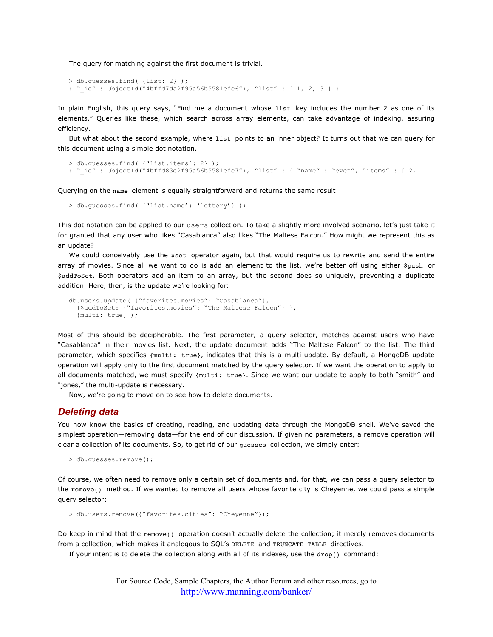The query for matching against the first document is trivial.

```
> db.guesses.find( {list: 2} );
{ "_id" : ObjectId("4bffd7da2f95a56b5581efe6"), "list" : [ 1, 2, 3 ] }
```
In plain English, this query says, "Find me a document whose list key includes the number 2 as one of its elements." Queries like these, which search across array elements, can take advantage of indexing, assuring efficiency.

But what about the second example, where list points to an inner object? It turns out that we can query for this document using a simple dot notation.

```
> db.guesses.find( {'list.items': 2} );
{ "_id" : ObjectId("4bffd83e2f95a56b5581efe7"), "list" : { "name" : "even", "items" : [ 2,
```
Querying on the name element is equally straightforward and returns the same result:

```
> db.guesses.find( {'list.name': 'lottery'} );
```
This dot notation can be applied to our users collection. To take a slightly more involved scenario, let's just take it for granted that any user who likes "Casablanca" also likes "The Maltese Falcon." How might we represent this as an update?

We could conceivably use the \$set operator again, but that would require us to rewrite and send the entire array of movies. Since all we want to do is add an element to the list, we're better off using either \$push or \$addToSet. Both operators add an item to an array, but the second does so uniquely, preventing a duplicate addition. Here, then, is the update we're looking for:

```
db.users.update( {"favorites.movies": "Casablanca"},
   {$addToSet: {"favorites.movies": "The Maltese Falcon"} },
   {multi: true} );
```
Most of this should be decipherable. The first parameter, a query selector, matches against users who have "Casablanca" in their movies list. Next, the update document adds "The Maltese Falcon" to the list. The third parameter, which specifies {multi: true}, indicates that this is a multi-update. By default, a MongoDB update operation will apply only to the first document matched by the query selector. If we want the operation to apply to all documents matched, we must specify {multi: true}. Since we want our update to apply to both "smith" and "jones," the multi-update is necessary.

Now, we're going to move on to see how to delete documents.

#### *Deleting data*

You now know the basics of creating, reading, and updating data through the MongoDB shell. We've saved the simplest operation—removing data—for the end of our discussion. If given no parameters, a remove operation will clear a collection of its documents. So, to get rid of our guesses collection, we simply enter:

```
> db.guesses.remove();
```
Of course, we often need to remove only a certain set of documents and, for that, we can pass a query selector to the remove() method. If we wanted to remove all users whose favorite city is Cheyenne, we could pass a simple query selector:

> db.users.remove({"favorites.cities": "Cheyenne"});

Do keep in mind that the remove() operation doesn't actually delete the collection; it merely removes documents from a collection, which makes it analogous to SQL's DELETE and TRUNCATE TABLE directives.

If your intent is to delete the collection along with all of its indexes, use the drop() command: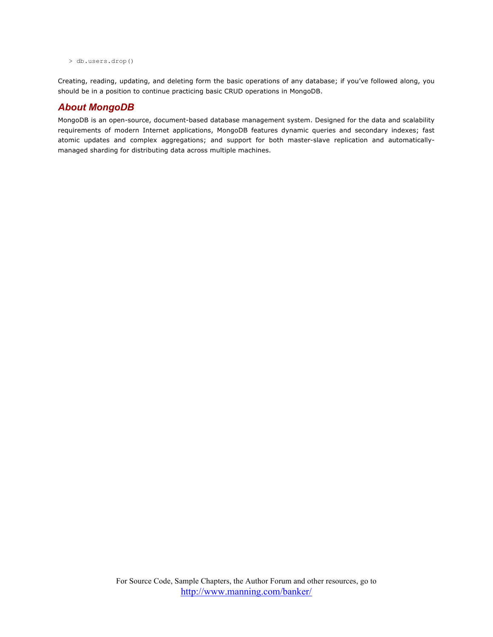```
> db.users.drop()
```
Creating, reading, updating, and deleting form the basic operations of any database; if you've followed along, you should be in a position to continue practicing basic CRUD operations in MongoDB.

### *About MongoDB*

MongoDB is an open-source, document-based database management system. Designed for the data and scalability requirements of modern Internet applications, MongoDB features dynamic queries and secondary indexes; fast atomic updates and complex aggregations; and support for both master-slave replication and automaticallymanaged sharding for distributing data across multiple machines.